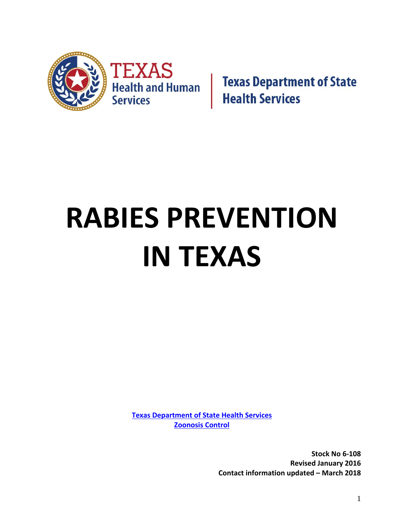

**Texas Department of State<br>Health Services** 

# **RABIES PREVENTION IN TEXAS**

**Texas Department of State Health Services Zoonosis Control**

> **Stock No 6‐108 Revised January 2016 Contact information updated – March 2018**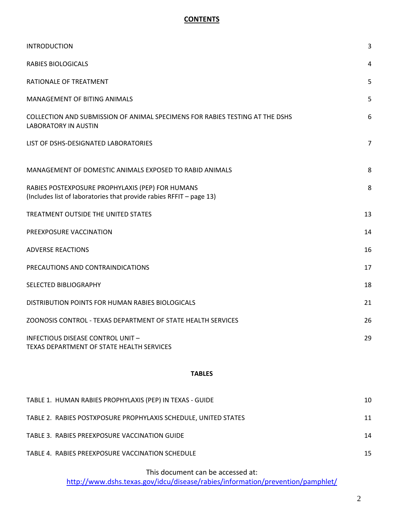# **CONTENTS**

| <b>INTRODUCTION</b>                                                                                                     | 3              |
|-------------------------------------------------------------------------------------------------------------------------|----------------|
| <b>RABIES BIOLOGICALS</b>                                                                                               | 4              |
| RATIONALE OF TREATMENT                                                                                                  | 5              |
| <b>MANAGEMENT OF BITING ANIMALS</b>                                                                                     | 5              |
| COLLECTION AND SUBMISSION OF ANIMAL SPECIMENS FOR RABIES TESTING AT THE DSHS<br><b>LABORATORY IN AUSTIN</b>             | 6              |
| LIST OF DSHS-DESIGNATED LABORATORIES                                                                                    | $\overline{7}$ |
| MANAGEMENT OF DOMESTIC ANIMALS EXPOSED TO RABID ANIMALS                                                                 | 8              |
| RABIES POSTEXPOSURE PROPHYLAXIS (PEP) FOR HUMANS<br>(Includes list of laboratories that provide rabies RFFIT - page 13) | 8              |
| TREATMENT OUTSIDE THE UNITED STATES                                                                                     | 13             |
| PREEXPOSURE VACCINATION                                                                                                 | 14             |
| <b>ADVERSE REACTIONS</b>                                                                                                | 16             |
| PRECAUTIONS AND CONTRAINDICATIONS                                                                                       | 17             |
| SELECTED BIBLIOGRAPHY                                                                                                   | 18             |
| DISTRIBUTION POINTS FOR HUMAN RABIES BIOLOGICALS                                                                        | 21             |
| ZOONOSIS CONTROL - TEXAS DEPARTMENT OF STATE HEALTH SERVICES                                                            | 26             |
| <b>INFECTIOUS DISEASE CONTROL UNIT -</b><br>TEXAS DEPARTMENT OF STATE HEALTH SERVICES                                   | 29             |

## **TABLES**

| TABLE 1. HUMAN RABIES PROPHYLAXIS (PEP) IN TEXAS - GUIDE        | 10 |
|-----------------------------------------------------------------|----|
| TABLE 2. RABIES POSTXPOSURE PROPHYLAXIS SCHEDULE, UNITED STATES | 11 |
| TABLE 3. RABIES PREEXPOSURE VACCINATION GUIDE                   | 14 |
| TABLE 4. RABIES PREEXPOSURE VACCINATION SCHEDULE                | 15 |

This document can be accessed at:

http://www.dshs.texas.gov/idcu/disease/rabies/information/prevention/pamphlet/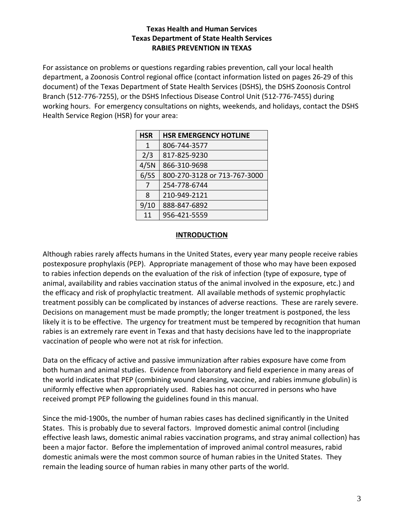# **Texas Health and Human Services Texas Department of State Health Services RABIES PREVENTION IN TEXAS**

For assistance on problems or questions regarding rabies prevention, call your local health department, a Zoonosis Control regional office (contact information listed on pages 26‐29 of this document) of the Texas Department of State Health Services (DSHS), the DSHS Zoonosis Control Branch (512‐776‐7255), or the DSHS Infectious Disease Control Unit (512‐776‐7455) during working hours. For emergency consultations on nights, weekends, and holidays, contact the DSHS Health Service Region (HSR) for your area:

| <b>HSR EMERGENCY HOTLINE</b> |
|------------------------------|
| 806-744-3577                 |
| 817-825-9230                 |
| 866-310-9698                 |
| 800-270-3128 or 713-767-3000 |
| 254-778-6744                 |
| 210-949-2121                 |
| 888-847-6892                 |
| 956-421-5559                 |
|                              |

## **INTRODUCTION**

Although rabies rarely affects humans in the United States, every year many people receive rabies postexposure prophylaxis (PEP). Appropriate management of those who may have been exposed to rabies infection depends on the evaluation of the risk of infection (type of exposure, type of animal, availability and rabies vaccination status of the animal involved in the exposure, etc.) and the efficacy and risk of prophylactic treatment. All available methods of systemic prophylactic treatment possibly can be complicated by instances of adverse reactions. These are rarely severe. Decisions on management must be made promptly; the longer treatment is postponed, the less likely it is to be effective. The urgency for treatment must be tempered by recognition that human rabies is an extremely rare event in Texas and that hasty decisions have led to the inappropriate vaccination of people who were not at risk for infection.

Data on the efficacy of active and passive immunization after rabies exposure have come from both human and animal studies. Evidence from laboratory and field experience in many areas of the world indicates that PEP (combining wound cleansing, vaccine, and rabies immune globulin) is uniformly effective when appropriately used. Rabies has not occurred in persons who have received prompt PEP following the guidelines found in this manual.

Since the mid‐1900s, the number of human rabies cases has declined significantly in the United States. This is probably due to several factors. Improved domestic animal control (including effective leash laws, domestic animal rabies vaccination programs, and stray animal collection) has been a major factor. Before the implementation of improved animal control measures, rabid domestic animals were the most common source of human rabies in the United States. They remain the leading source of human rabies in many other parts of the world.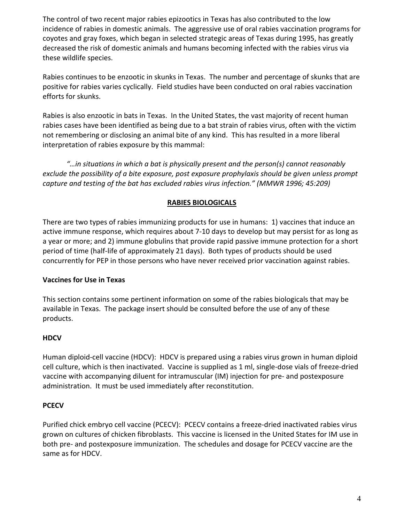The control of two recent major rabies epizootics in Texas has also contributed to the low incidence of rabies in domestic animals. The aggressive use of oral rabies vaccination programs for coyotes and gray foxes, which began in selected strategic areas of Texas during 1995, has greatly decreased the risk of domestic animals and humans becoming infected with the rabies virus via these wildlife species.

Rabies continues to be enzootic in skunks in Texas. The number and percentage of skunks that are positive for rabies varies cyclically. Field studies have been conducted on oral rabies vaccination efforts for skunks.

Rabies is also enzootic in bats in Texas. In the United States, the vast majority of recent human rabies cases have been identified as being due to a bat strain of rabies virus, often with the victim not remembering or disclosing an animal bite of any kind. This has resulted in a more liberal interpretation of rabies exposure by this mammal:

*"…in situations in which a bat is physically present and the person(s) cannot reasonably exclude the possibility of a bite exposure, post exposure prophylaxis should be given unless prompt capture and testing of the bat has excluded rabies virus infection." (MMWR 1996; 45:209)*

# **RABIES BIOLOGICALS**

There are two types of rabies immunizing products for use in humans: 1) vaccines that induce an active immune response, which requires about 7‐10 days to develop but may persist for as long as a year or more; and 2) immune globulins that provide rapid passive immune protection for a short period of time (half‐life of approximately 21 days). Both types of products should be used concurrently for PEP in those persons who have never received prior vaccination against rabies.

# **Vaccines for Use in Texas**

This section contains some pertinent information on some of the rabies biologicals that may be available in Texas. The package insert should be consulted before the use of any of these products.

# **HDCV**

Human diploid‐cell vaccine (HDCV): HDCV is prepared using a rabies virus grown in human diploid cell culture, which is then inactivated. Vaccine is supplied as 1 ml, single‐dose vials of freeze‐dried vaccine with accompanying diluent for intramuscular (IM) injection for pre‐ and postexposure administration. It must be used immediately after reconstitution.

# **PCECV**

Purified chick embryo cell vaccine (PCECV): PCECV contains a freeze‐dried inactivated rabies virus grown on cultures of chicken fibroblasts. This vaccine is licensed in the United States for IM use in both pre- and postexposure immunization. The schedules and dosage for PCECV vaccine are the same as for HDCV.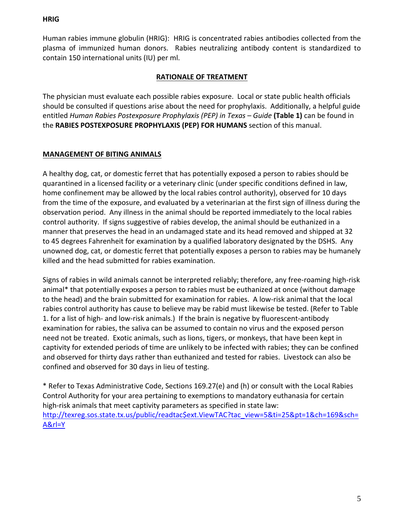## **HRIG**

Human rabies immune globulin (HRIG): HRIG is concentrated rabies antibodies collected from the plasma of immunized human donors. Rabies neutralizing antibody content is standardized to contain 150 international units (IU) per ml.

# **RATIONALE OF TREATMENT**

The physician must evaluate each possible rabies exposure. Local or state public health officials should be consulted if questions arise about the need for prophylaxis. Additionally, a helpful guide entitled *Human Rabies Postexposure Prophylaxis (PEP) in Texas – Guide* **(Table 1)** can be found in the **RABIES POSTEXPOSURE PROPHYLAXIS (PEP) FOR HUMANS** section of this manual.

# **MANAGEMENT OF BITING ANIMALS**

A healthy dog, cat, or domestic ferret that has potentially exposed a person to rabies should be quarantined in a licensed facility or a veterinary clinic (under specific conditions defined in law, home confinement may be allowed by the local rabies control authority), observed for 10 days from the time of the exposure, and evaluated by a veterinarian at the first sign of illness during the observation period. Any illness in the animal should be reported immediately to the local rabies control authority. If signs suggestive of rabies develop, the animal should be euthanized in a manner that preserves the head in an undamaged state and its head removed and shipped at 32 to 45 degrees Fahrenheit for examination by a qualified laboratory designated by the DSHS. Any unowned dog, cat, or domestic ferret that potentially exposes a person to rabies may be humanely killed and the head submitted for rabies examination.

Signs of rabies in wild animals cannot be interpreted reliably; therefore, any free‐roaming high‐risk animal\* that potentially exposes a person to rabies must be euthanized at once (without damage to the head) and the brain submitted for examination for rabies. A low‐risk animal that the local rabies control authority has cause to believe may be rabid must likewise be tested. (Refer to Table 1. for a list of high‐ and low‐risk animals.) If the brain is negative by fluorescent‐antibody examination for rabies, the saliva can be assumed to contain no virus and the exposed person need not be treated. Exotic animals, such as lions, tigers, or monkeys, that have been kept in captivity for extended periods of time are unlikely to be infected with rabies; they can be confined and observed for thirty days rather than euthanized and tested for rabies. Livestock can also be confined and observed for 30 days in lieu of testing.

\* Refer to Texas Administrative Code, Sections 169.27(e) and (h) or consult with the Local Rabies Control Authority for your area pertaining to exemptions to mandatory euthanasia for certain high-risk animals that meet captivity parameters as specified in state law: http://texreg.sos.state.tx.us/public/readtac\$ext.ViewTAC?tac\_view=5&ti=25&pt=1&ch=169&sch= A&rl=Y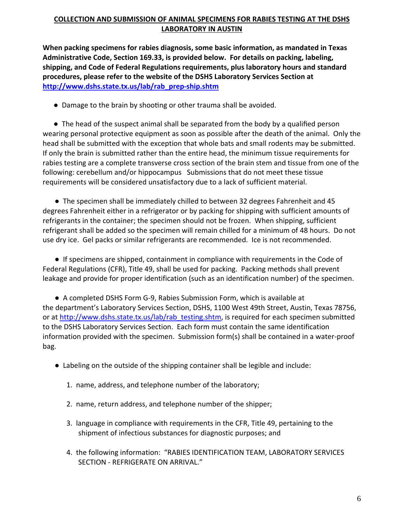# **COLLECTION AND SUBMISSION OF ANIMAL SPECIMENS FOR RABIES TESTING AT THE DSHS LABORATORY IN AUSTIN**

**When packing specimens for rabies diagnosis, some basic information, as mandated in Texas Administrative Code, Section 169.33, is provided below. For details on packing, labeling, shipping, and Code of Federal Regulations requirements, plus laboratory hours and standard procedures, please refer to the website of the DSHS Laboratory Services Section at http://www.dshs.state.tx.us/lab/rab\_prep‐ship.shtm**

● Damage to the brain by shooting or other trauma shall be avoided.

 ● The head of the suspect animal shall be separated from the body by a qualified person wearing personal protective equipment as soon as possible after the death of the animal. Only the head shall be submitted with the exception that whole bats and small rodents may be submitted. If only the brain is submitted rather than the entire head, the minimum tissue requirements for rabies testing are a complete transverse cross section of the brain stem and tissue from one of the following: cerebellum and/or hippocampus Submissions that do not meet these tissue requirements will be considered unsatisfactory due to a lack of sufficient material.

● The specimen shall be immediately chilled to between 32 degrees Fahrenheit and 45 degrees Fahrenheit either in a refrigerator or by packing for shipping with sufficient amounts of refrigerants in the container; the specimen should not be frozen. When shipping, sufficient refrigerant shall be added so the specimen will remain chilled for a minimum of 48 hours. Do not use dry ice. Gel packs or similar refrigerants are recommended. Ice is not recommended.

● If specimens are shipped, containment in compliance with requirements in the Code of Federal Regulations (CFR), Title 49, shall be used for packing. Packing methods shall prevent leakage and provide for proper identification (such as an identification number) of the specimen.

● A completed DSHS Form G-9, Rabies Submission Form, which is available at the department's Laboratory Services Section, DSHS, 1100 West 49th Street, Austin, Texas 78756, or at http://www.dshs.state.tx.us/lab/rab\_testing.shtm, is required for each specimen submitted to the DSHS Laboratory Services Section. Each form must contain the same identification information provided with the specimen. Submission form(s) shall be contained in a water‐proof bag.

- Labeling on the outside of the shipping container shall be legible and include:
	- 1. name, address, and telephone number of the laboratory;
	- 2. name, return address, and telephone number of the shipper;
	- 3. language in compliance with requirements in the CFR, Title 49, pertaining to the shipment of infectious substances for diagnostic purposes; and
	- 4. the following information: "RABIES IDENTIFICATION TEAM, LABORATORY SERVICES SECTION ‐ REFRIGERATE ON ARRIVAL."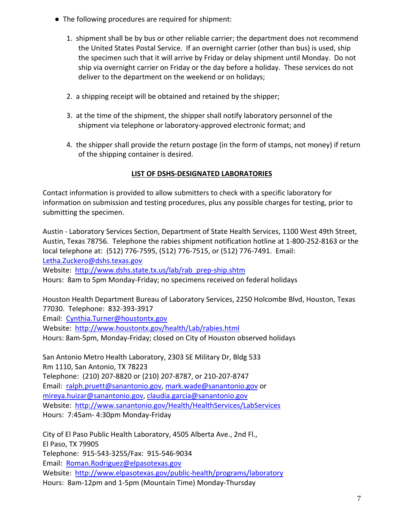- The following procedures are required for shipment:
	- 1. shipment shall be by bus or other reliable carrier; the department does not recommend the United States Postal Service. If an overnight carrier (other than bus) is used, ship the specimen such that it will arrive by Friday or delay shipment until Monday. Do not ship via overnight carrier on Friday or the day before a holiday. These services do not deliver to the department on the weekend or on holidays;
	- 2. a shipping receipt will be obtained and retained by the shipper;
	- 3. at the time of the shipment, the shipper shall notify laboratory personnel of the shipment via telephone or laboratory‐approved electronic format; and
	- 4. the shipper shall provide the return postage (in the form of stamps, not money) if return of the shipping container is desired.

# **LIST OF DSHS‐DESIGNATED LABORATORIES**

Contact information is provided to allow submitters to check with a specific laboratory for information on submission and testing procedures, plus any possible charges for testing, prior to submitting the specimen.

Austin ‐ Laboratory Services Section, Department of State Health Services, 1100 West 49th Street, Austin, Texas 78756. Telephone the rabies shipment notification hotline at 1‐800‐252‐8163 or the local telephone at: (512) 776‐7595, (512) 776‐7515, or (512) 776‐7491. Email: Letha.Zuckero@dshs.texas.gov Website: http://www.dshs.state.tx.us/lab/rab\_prep-ship.shtm Hours: 8am to 5pm Monday‐Friday; no specimens received on federal holidays

Houston Health Department Bureau of Laboratory Services, 2250 Holcombe Blvd, Houston, Texas 77030. Telephone: 832‐393‐3917

Email: Cynthia.Turner@houstontx.gov

Website: http://www.houstontx.gov/health/Lab/rabies.html

Hours: 8am‐5pm, Monday‐Friday; closed on City of Houston observed holidays

San Antonio Metro Health Laboratory, 2303 SE Military Dr, Bldg 533 Rm 1110, San Antonio, TX 78223 Telephone: (210) 207‐8820 or (210) 207‐8787, or 210‐207‐8747 Email: ralph.pruett@sanantonio.gov, mark.wade@sanantonio.gov or mireya.huizar@sanantonio.gov, claudia.garcia@sanantonio.gov Website: http://www.sanantonio.gov/Health/HealthServices/LabServices Hours: 7:45am‐ 4:30pm Monday‐Friday

City of El Paso Public Health Laboratory, 4505 Alberta Ave., 2nd Fl., El Paso, TX 79905 Telephone: 915‐543‐3255/Fax: 915‐546‐9034 Email: Roman.Rodriguez@elpasotexas.gov Website: http://www.elpasotexas.gov/public-health/programs/laboratory Hours: 8am‐12pm and 1‐5pm (Mountain Time) Monday‐Thursday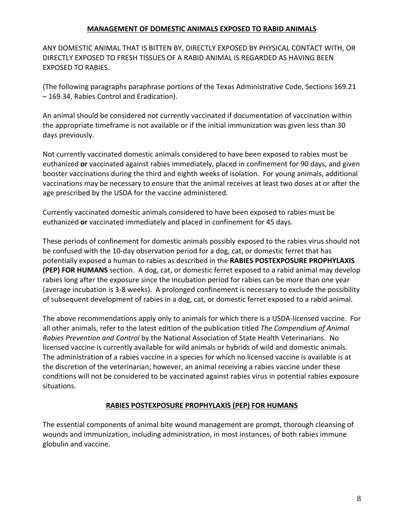# **MANAGEMENT OF DOMESTIC ANIMALS EXPOSED TO RABID ANIMALS**

ANY DOMESTIC ANIMAL THAT IS BITTEN BY, DIRECTLY EXPOSED BY PHYSICAL CONTACT WITH, OR DIRECTLY EXPOSED TO FRESH TISSUES OF A RABID ANIMAL IS REGARDED AS HAVING BEEN EXPOSED TO RABIES.

(The following paragraphs paraphrase portions of the Texas Administrative Code, Sections 169.21 – 169.34, Rabies Control and Eradication).

An animal should be considered not currently vaccinated if documentation of vaccination within the appropriate timeframe is not available or if the initial immunization was given less than 30 days previously.

Not currently vaccinated domestic animals considered to have been exposed to rabies must be euthanized **or** vaccinated against rabies immediately, placed in confinement for 90 days, and given booster vaccinations during the third and eighth weeks of isolation. For young animals, additional vaccinations may be necessary to ensure that the animal receives at least two doses at or after the age prescribed by the USDA for the vaccine administered.

Currently vaccinated domestic animals considered to have been exposed to rabies must be euthanized **or** vaccinated immediately and placed in confinement for 45 days.

These periods of confinement for domestic animals possibly exposed to the rabies virus should not be confused with the 10‐day observation period for a dog, cat, or domestic ferret that has potentially exposed a human to rabies as described in the **RABIES POSTEXPOSURE PROPHYLAXIS (PEP) FOR HUMANS** section. A dog, cat, or domestic ferret exposed to a rabid animal may develop rabies long after the exposure since the incubation period for rabies can be more than one year (average incubation is 3‐8 weeks). A prolonged confinement is necessary to exclude the possibility of subsequent development of rabies in a dog, cat, or domestic ferret exposed to a rabid animal.

The above recommendations apply only to animals for which there is a USDA‐licensed vaccine. For all other animals, refer to the latest edition of the publication titled *The Compendium of Animal Rabies Prevention and Control* by the National Association of State Health Veterinarians. No licensed vaccine is currently available for wild animals or hybrids of wild and domestic animals. The administration of a rabies vaccine in a species for which no licensed vaccine is available is at the discretion of the veterinarian; however, an animal receiving a rabies vaccine under these conditions will not be considered to be vaccinated against rabies virus in potential rabies exposure situations.

## **RABIES POSTEXPOSURE PROPHYLAXIS (PEP) FOR HUMANS**

The essential components of animal bite wound management are prompt, thorough cleansing of wounds and immunization, including administration, in most instances, of both rabies immune globulin and vaccine.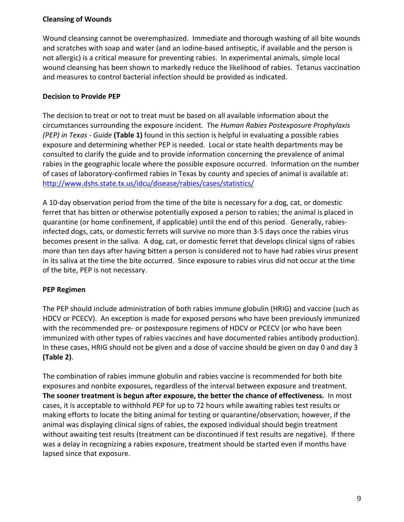# **Cleansing of Wounds**

Wound cleansing cannot be overemphasized. Immediate and thorough washing of all bite wounds and scratches with soap and water (and an iodine‐based antiseptic, if available and the person is not allergic) is a critical measure for preventing rabies. In experimental animals, simple local wound cleansing has been shown to markedly reduce the likelihood of rabies. Tetanus vaccination and measures to control bacterial infection should be provided as indicated.

# **Decision to Provide PEP**

The decision to treat or not to treat must be based on all available information about the circumstances surrounding the exposure incident. The *Human Rabies Postexposure Prophylaxis (PEP) in Texas ‐ Guide* **(Table 1)** found in this section is helpful in evaluating a possible rabies exposure and determining whether PEP is needed. Local or state health departments may be consulted to clarify the guide and to provide information concerning the prevalence of animal rabies in the geographic locale where the possible exposure occurred. Information on the number of cases of laboratory-confirmed rabies in Texas by county and species of animal is available at: http://www.dshs.state.tx.us/idcu/disease/rabies/cases/statistics/

A 10-day observation period from the time of the bite is necessary for a dog, cat, or domestic ferret that has bitten or otherwise potentially exposed a person to rabies; the animal is placed in quarantine (or home confinement, if applicable) until the end of this period. Generally, rabies‐ infected dogs, cats, or domestic ferrets will survive no more than 3‐5 days once the rabies virus becomes present in the saliva. A dog, cat, or domestic ferret that develops clinical signs of rabies more than ten days after having bitten a person is considered not to have had rabies virus present in its saliva at the time the bite occurred. Since exposure to rabies virus did not occur at the time of the bite, PEP is not necessary.

# **PEP Regimen**

The PEP should include administration of both rabies immune globulin (HRIG) and vaccine (such as HDCV or PCECV). An exception is made for exposed persons who have been previously immunized with the recommended pre- or postexposure regimens of HDCV or PCECV (or who have been immunized with other types of rabies vaccines and have documented rabies antibody production). In these cases, HRIG should not be given and a dose of vaccine should be given on day 0 and day 3 **(Table 2)**.

The combination of rabies immune globulin and rabies vaccine is recommended for both bite exposures and nonbite exposures, regardless of the interval between exposure and treatment. **The sooner treatment is begun after exposure, the better the chance of effectiveness.** In most cases, it is acceptable to withhold PEP for up to 72 hours while awaiting rabies test results or making efforts to locate the biting animal for testing or quarantine/observation; however, if the animal was displaying clinical signs of rabies, the exposed individual should begin treatment without awaiting test results (treatment can be discontinued if test results are negative). If there was a delay in recognizing a rabies exposure, treatment should be started even if months have lapsed since that exposure.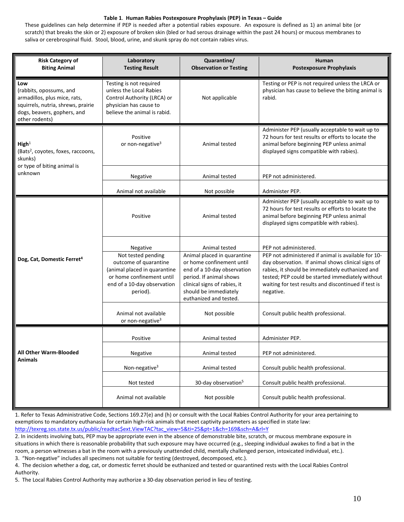#### **Table 1**. **Human Rabies Postexposure Prophylaxis (PEP) in Texas – Guide**

These guidelines can help determine if PEP is needed after a potential rabies exposure. An exposure is defined as 1) an animal bite (or scratch) that breaks the skin or 2) exposure of broken skin (bled or had serous drainage within the past 24 hours) or mucous membranes to saliva or cerebrospinal fluid. Stool, blood, urine, and skunk spray do not contain rabies virus.

| <b>Risk Category of</b><br><b>Biting Animal</b>                                                                                                       | Laboratory<br><b>Testing Result</b>                                                                                                                             | Quarantine/<br><b>Observation or Testing</b>                                                                                                                                                                           | Human<br><b>Postexposure Prophylaxis</b>                                                                                                                                                                                                                                                                       |
|-------------------------------------------------------------------------------------------------------------------------------------------------------|-----------------------------------------------------------------------------------------------------------------------------------------------------------------|------------------------------------------------------------------------------------------------------------------------------------------------------------------------------------------------------------------------|----------------------------------------------------------------------------------------------------------------------------------------------------------------------------------------------------------------------------------------------------------------------------------------------------------------|
| Low<br>(rabbits, opossums, and<br>armadillos, plus mice, rats,<br>squirrels, nutria, shrews, prairie<br>dogs, beavers, gophers, and<br>other rodents) | Testing is not required<br>unless the Local Rabies<br>Control Authority (LRCA) or<br>physician has cause to<br>believe the animal is rabid.                     | Not applicable                                                                                                                                                                                                         | Testing or PEP is not required unless the LRCA or<br>physician has cause to believe the biting animal is<br>rabid.                                                                                                                                                                                             |
| High <sup>1</sup><br>(Bats <sup>2</sup> , coyotes, foxes, raccoons,<br>skunks)                                                                        | Positive<br>or non-negative <sup>3</sup>                                                                                                                        | Animal tested                                                                                                                                                                                                          | Administer PEP (usually acceptable to wait up to<br>72 hours for test results or efforts to locate the<br>animal before beginning PEP unless animal<br>displayed signs compatible with rabies).                                                                                                                |
| or type of biting animal is<br>unknown                                                                                                                | Negative                                                                                                                                                        | Animal tested                                                                                                                                                                                                          | PEP not administered.                                                                                                                                                                                                                                                                                          |
|                                                                                                                                                       | Animal not available                                                                                                                                            | Not possible                                                                                                                                                                                                           | Administer PEP.                                                                                                                                                                                                                                                                                                |
| Dog, Cat, Domestic Ferret <sup>4</sup>                                                                                                                | Positive                                                                                                                                                        | Animal tested                                                                                                                                                                                                          | Administer PEP (usually acceptable to wait up to<br>72 hours for test results or efforts to locate the<br>animal before beginning PEP unless animal<br>displayed signs compatible with rabies).                                                                                                                |
|                                                                                                                                                       | Negative<br>Not tested pending<br>outcome of quarantine<br>(animal placed in quarantine<br>or home confinement until<br>end of a 10-day observation<br>period). | Animal tested<br>Animal placed in quarantine<br>or home confinement until<br>end of a 10-day observation<br>period. If animal shows<br>clinical signs of rabies, it<br>should be immediately<br>euthanized and tested. | PEP not administered.<br>PEP not administered if animal is available for 10-<br>day observation. If animal shows clinical signs of<br>rabies, it should be immediately euthanized and<br>tested; PEP could be started immediately without<br>waiting for test results and discontinued if test is<br>negative. |
|                                                                                                                                                       | Animal not available<br>or non-negative <sup>3</sup>                                                                                                            | Not possible                                                                                                                                                                                                           | Consult public health professional.                                                                                                                                                                                                                                                                            |
|                                                                                                                                                       | Positive                                                                                                                                                        | Animal tested                                                                                                                                                                                                          | Administer PEP.                                                                                                                                                                                                                                                                                                |
| All Other Warm-Blooded                                                                                                                                | Negative                                                                                                                                                        | Animal tested                                                                                                                                                                                                          | PEP not administered.                                                                                                                                                                                                                                                                                          |
| <b>Animals</b>                                                                                                                                        | Non-negative $3$                                                                                                                                                | Animal tested                                                                                                                                                                                                          | Consult public health professional.                                                                                                                                                                                                                                                                            |
|                                                                                                                                                       | Not tested                                                                                                                                                      | 30-day observation <sup>5</sup>                                                                                                                                                                                        | Consult public health professional.                                                                                                                                                                                                                                                                            |
|                                                                                                                                                       | Animal not available                                                                                                                                            | Not possible                                                                                                                                                                                                           | Consult public health professional.                                                                                                                                                                                                                                                                            |

1. Refer to Texas Administrative Code, Sections 169.27(e) and (h) or consult with the Local Rabies Control Authority for your area pertaining to exemptions to mandatory euthanasia for certain high‐risk animals that meet captivity parameters as specified in state law: http://texreg.sos.state.tx.us/public/readtac\$ext.ViewTAC?tac\_view=5&ti=25&pt=1&ch=169&sch=A&rl=Y

2. In incidents involving bats, PEP may be appropriate even in the absence of demonstrable bite, scratch, or mucous membrane exposure in situations in which there is reasonable probability that such exposure may have occurred (e.g., sleeping individual awakes to find a bat in the room, a person witnesses a bat in the room with a previously unattended child, mentally challenged person, intoxicated individual, etc.).

3. "Non-negative" includes all specimens not suitable for testing (destroyed, decomposed, etc.).

4. The decision whether a dog, cat, or domestic ferret should be euthanized and tested or quarantined rests with the Local Rabies Control Authority.

5. The Local Rabies Control Authority may authorize a 30‐day observation period in lieu of testing.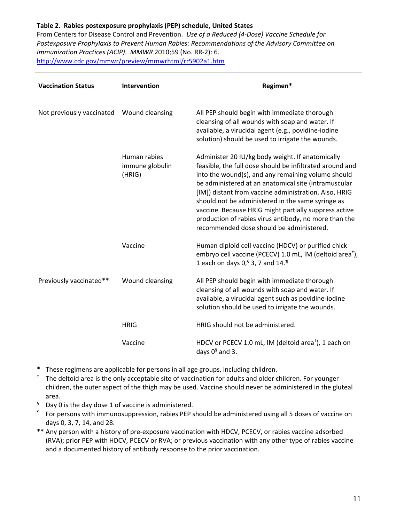## **Table 2. Rabies postexposure prophylaxis (PEP) schedule, United States**

From Centers for Disease Control and Prevention. *Use of a Reduced (4‐Dose) Vaccine Schedule for Postexposure Prophylaxis to Prevent Human Rabies: Recommendations of the Advisory Committee on Immunization Practices (ACIP)*. *MMWR* 2010;59 (No. RR‐2): 6. http://www.cdc.gov/mmwr/preview/mmwrhtml/rr5902a1.htm

| <b>Vaccination Status</b> | Intervention                              | Regimen*                                                                                                                                                                                                                                                                                                                                                                                                                                                                                               |
|---------------------------|-------------------------------------------|--------------------------------------------------------------------------------------------------------------------------------------------------------------------------------------------------------------------------------------------------------------------------------------------------------------------------------------------------------------------------------------------------------------------------------------------------------------------------------------------------------|
| Not previously vaccinated | Wound cleansing                           | All PEP should begin with immediate thorough<br>cleansing of all wounds with soap and water. If<br>available, a virucidal agent (e.g., povidine-iodine<br>solution) should be used to irrigate the wounds.                                                                                                                                                                                                                                                                                             |
|                           | Human rabies<br>immune globulin<br>(HRIG) | Administer 20 IU/kg body weight. If anatomically<br>feasible, the full dose should be infiltrated around and<br>into the wound(s), and any remaining volume should<br>be administered at an anatomical site (intramuscular<br>[IM]) distant from vaccine administration. Also, HRIG<br>should not be administered in the same syringe as<br>vaccine. Because HRIG might partially suppress active<br>production of rabies virus antibody, no more than the<br>recommended dose should be administered. |
|                           | Vaccine                                   | Human diploid cell vaccine (HDCV) or purified chick<br>embryo cell vaccine (PCECV) 1.0 mL, IM (deltoid area <sup>t</sup> ),<br>1 each on days $0,$ <sup>§</sup> 3, 7 and 14. <sup>1</sup>                                                                                                                                                                                                                                                                                                              |
| Previously vaccinated**   | Wound cleansing                           | All PEP should begin with immediate thorough<br>cleansing of all wounds with soap and water. If<br>available, a virucidal agent such as povidine-iodine<br>solution should be used to irrigate the wounds.                                                                                                                                                                                                                                                                                             |
|                           | <b>HRIG</b>                               | HRIG should not be administered.                                                                                                                                                                                                                                                                                                                                                                                                                                                                       |
|                           | Vaccine                                   | HDCV or PCECV 1.0 mL, IM (deltoid area <sup>+</sup> ), 1 each on<br>days $0^{\frac{6}{3}}$ and 3.                                                                                                                                                                                                                                                                                                                                                                                                      |

These regimens are applicable for persons in all age groups, including children.

† The deltoid area is the only acceptable site of vaccination for adults and older children. For younger children, the outer aspect of the thigh may be used. Vaccine should never be administered in the gluteal area.

- $§$  Day 0 is the day dose 1 of vaccine is administered.
- ¶ For persons with immunosuppression, rabies PEP should be administered using all 5 doses of vaccine on days 0, 3, 7, 14, and 28.
- \*\* Any person with a history of pre‐exposure vaccination with HDCV, PCECV, or rabies vaccine adsorbed (RVA); prior PEP with HDCV, PCECV or RVA; or previous vaccination with any other type of rabies vaccine and a documented history of antibody response to the prior vaccination.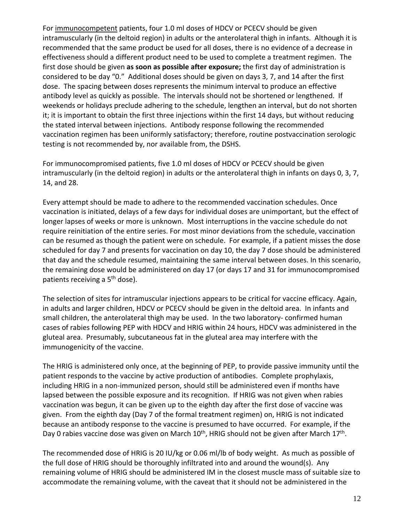For immunocompetent patients, four 1.0 ml doses of HDCV or PCECV should be given intramuscularly (in the deltoid region) in adults or the anterolateral thigh in infants. Although it is recommended that the same product be used for all doses, there is no evidence of a decrease in effectiveness should a different product need to be used to complete a treatment regimen. The first dose should be given **as soon as possible after exposure;** the first day of administration is considered to be day "0." Additional doses should be given on days 3, 7, and 14 after the first dose. The spacing between doses represents the minimum interval to produce an effective antibody level as quickly as possible. The intervals should not be shortened or lengthened. If weekends or holidays preclude adhering to the schedule, lengthen an interval, but do not shorten it; it is important to obtain the first three injections within the first 14 days, but without reducing the stated interval between injections. Antibody response following the recommended vaccination regimen has been uniformly satisfactory; therefore, routine postvaccination serologic testing is not recommended by, nor available from, the DSHS.

For immunocompromised patients, five 1.0 ml doses of HDCV or PCECV should be given intramuscularly (in the deltoid region) in adults or the anterolateral thigh in infants on days 0, 3, 7, 14, and 28.

Every attempt should be made to adhere to the recommended vaccination schedules. Once vaccination is initiated, delays of a few days for individual doses are unimportant, but the effect of longer lapses of weeks or more is unknown. Most interruptions in the vaccine schedule do not require reinitiation of the entire series. For most minor deviations from the schedule, vaccination can be resumed as though the patient were on schedule. For example, if a patient misses the dose scheduled for day 7 and presents for vaccination on day 10, the day 7 dose should be administered that day and the schedule resumed, maintaining the same interval between doses. In this scenario, the remaining dose would be administered on day 17 (or days 17 and 31 for immunocompromised patients receiving a 5<sup>th</sup> dose).

The selection of sites for intramuscular injections appears to be critical for vaccine efficacy. Again, in adults and larger children, HDCV or PCECV should be given in the deltoid area. In infants and small children, the anterolateral thigh may be used. In the two laboratory- confirmed human cases of rabies following PEP with HDCV and HRIG within 24 hours, HDCV was administered in the gluteal area. Presumably, subcutaneous fat in the gluteal area may interfere with the immunogenicity of the vaccine.

The HRIG is administered only once, at the beginning of PEP, to provide passive immunity until the patient responds to the vaccine by active production of antibodies. Complete prophylaxis, including HRIG in a non‐immunized person, should still be administered even if months have lapsed between the possible exposure and its recognition. If HRIG was not given when rabies vaccination was begun, it can be given up to the eighth day after the first dose of vaccine was given. From the eighth day (Day 7 of the formal treatment regimen) on, HRIG is not indicated because an antibody response to the vaccine is presumed to have occurred. For example, if the Day 0 rabies vaccine dose was given on March 10<sup>th</sup>, HRIG should not be given after March 17<sup>th</sup>.

The recommended dose of HRIG is 20 IU/kg or 0.06 ml/lb of body weight. As much as possible of the full dose of HRIG should be thoroughly infiltrated into and around the wound(s). Any remaining volume of HRIG should be administered IM in the closest muscle mass of suitable size to accommodate the remaining volume, with the caveat that it should not be administered in the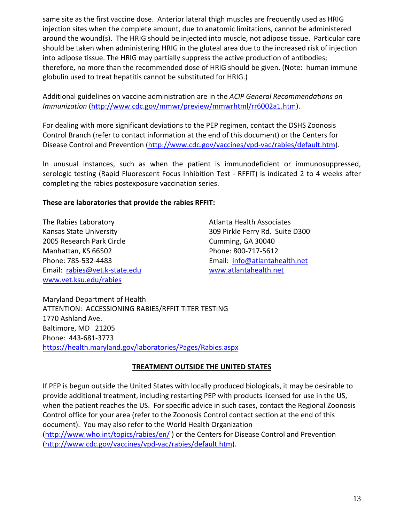same site as the first vaccine dose. Anterior lateral thigh muscles are frequently used as HRIG injection sites when the complete amount, due to anatomic limitations, cannot be administered around the wound(s). The HRIG should be injected into muscle, not adipose tissue. Particular care should be taken when administering HRIG in the gluteal area due to the increased risk of injection into adipose tissue. The HRIG may partially suppress the active production of antibodies; therefore, no more than the recommended dose of HRIG should be given. (Note: human immune globulin used to treat hepatitis cannot be substituted for HRIG.)

Additional guidelines on vaccine administration are in the *ACIP General Recommendations on Immunization* (http://www.cdc.gov/mmwr/preview/mmwrhtml/rr6002a1.htm).

For dealing with more significant deviations to the PEP regimen, contact the DSHS Zoonosis Control Branch (refer to contact information at the end of this document) or the Centers for Disease Control and Prevention (http://www.cdc.gov/vaccines/vpd-vac/rabies/default.htm).

In unusual instances, such as when the patient is immunodeficient or immunosuppressed, serologic testing (Rapid Fluorescent Focus Inhibition Test - RFFIT) is indicated 2 to 4 weeks after completing the rabies postexposure vaccination series.

# **These are laboratories that provide the rabies RFFIT:**

The Rabies Laboratory **Atlanta Health Associates** Atlanta Health Associates 2005 Research Park Circle Cumming, GA 30040 Manhattan, KS 66502 Phone: 800-717-5612 Email: rabies@vet.k-state.edu www.atlantahealth.net www.vet.ksu.edu/rabies

Kansas State University **1988 120 State State Data Area State D300** 309 Pirkle Ferry Rd. Suite D300 Phone: 785‐532‐4483 Email: info@atlantahealth.net

Maryland Department of Health ATTENTION: ACCESSIONING RABIES/RFFIT TITER TESTING 1770 Ashland Ave. Baltimore, MD 21205 Phone: 443‐681‐3773 https://health.maryland.gov/laboratories/Pages/Rabies.aspx

# **TREATMENT OUTSIDE THE UNITED STATES**

If PEP is begun outside the United States with locally produced biologicals, it may be desirable to provide additional treatment, including restarting PEP with products licensed for use in the US, when the patient reaches the US. For specific advice in such cases, contact the Regional Zoonosis Control office for your area (refer to the Zoonosis Control contact section at the end of this document). You may also refer to the World Health Organization (http://www.who.int/topics/rabies/en/ ) or the Centers for Disease Control and Prevention (http://www.cdc.gov/vaccines/vpd‐vac/rabies/default.htm).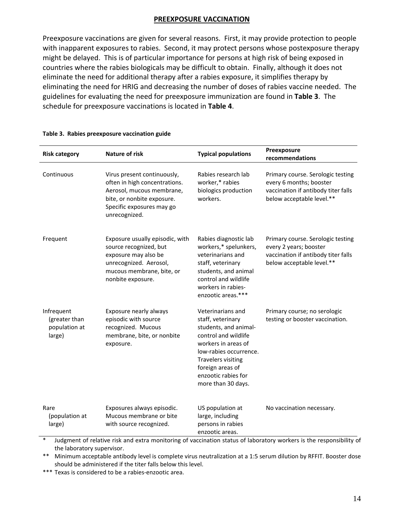## **PREEXPOSURE VACCINATION**

Preexposure vaccinations are given for several reasons. First, it may provide protection to people with inapparent exposures to rabies. Second, it may protect persons whose postexposure therapy might be delayed. This is of particular importance for persons at high risk of being exposed in countries where the rabies biologicals may be difficult to obtain. Finally, although it does not eliminate the need for additional therapy after a rabies exposure, it simplifies therapy by eliminating the need for HRIG and decreasing the number of doses of rabies vaccine needed. The guidelines for evaluating the need for preexposure immunization are found in **Table 3**. The schedule for preexposure vaccinations is located in **Table 4**.

| <b>Risk category</b>                                   | <b>Nature of risk</b>                                                                                                                                                 | <b>Typical populations</b>                                                                                                                                                                                                             | Preexposure<br>recommendations                                                                                                   |
|--------------------------------------------------------|-----------------------------------------------------------------------------------------------------------------------------------------------------------------------|----------------------------------------------------------------------------------------------------------------------------------------------------------------------------------------------------------------------------------------|----------------------------------------------------------------------------------------------------------------------------------|
| Continuous                                             | Virus present continuously,<br>often in high concentrations.<br>Aerosol, mucous membrane,<br>bite, or nonbite exposure.<br>Specific exposures may go<br>unrecognized. | Rabies research lab<br>worker,* rabies<br>biologics production<br>workers.                                                                                                                                                             | Primary course. Serologic testing<br>every 6 months; booster<br>vaccination if antibody titer falls<br>below acceptable level.** |
| Frequent                                               | Exposure usually episodic, with<br>source recognized, but<br>exposure may also be<br>unrecognized. Aerosol,<br>mucous membrane, bite, or<br>nonbite exposure.         | Rabies diagnostic lab<br>workers,* spelunkers,<br>veterinarians and<br>staff, veterinary<br>students, and animal<br>control and wildlife<br>workers in rabies-<br>enzootic areas.***                                                   | Primary course. Serologic testing<br>every 2 years; booster<br>vaccination if antibody titer falls<br>below acceptable level.**  |
| Infrequent<br>(greater than<br>population at<br>large) | Exposure nearly always<br>episodic with source<br>recognized. Mucous<br>membrane, bite, or nonbite<br>exposure.                                                       | Veterinarians and<br>staff, veterinary<br>students, and animal-<br>control and wildlife<br>workers in areas of<br>low-rabies occurrence.<br><b>Travelers visiting</b><br>foreign areas of<br>enzootic rabies for<br>more than 30 days. | Primary course; no serologic<br>testing or booster vaccination.                                                                  |
| Rare<br>(population at<br>large)                       | Exposures always episodic.<br>Mucous membrane or bite<br>with source recognized.                                                                                      | US population at<br>large, including<br>persons in rabies<br>enzootic areas.                                                                                                                                                           | No vaccination necessary.                                                                                                        |

#### **Table 3. Rabies preexposure vaccination guide**

Judgment of relative risk and extra monitoring of vaccination status of laboratory workers is the responsibility of the laboratory supervisor.

\*\* Minimum acceptable antibody level is complete virus neutralization at a 1:5 serum dilution by RFFIT. Booster dose should be administered if the titer falls below this level.

\*\*\* Texas is considered to be a rabies-enzootic area.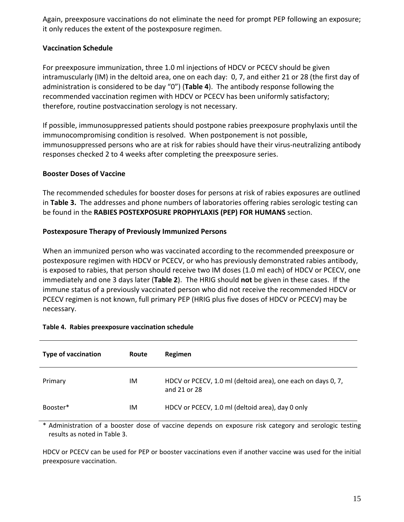Again, preexposure vaccinations do not eliminate the need for prompt PEP following an exposure; it only reduces the extent of the postexposure regimen.

# **Vaccination Schedule**

For preexposure immunization, three 1.0 ml injections of HDCV or PCECV should be given intramuscularly (IM) in the deltoid area, one on each day: 0, 7, and either 21 or 28 (the first day of administration is considered to be day "0") (**Table 4**). The antibody response following the recommended vaccination regimen with HDCV or PCECV has been uniformly satisfactory; therefore, routine postvaccination serology is not necessary.

If possible, immunosuppressed patients should postpone rabies preexposure prophylaxis until the immunocompromising condition is resolved. When postponement is not possible, immunosuppressed persons who are at risk for rabies should have their virus-neutralizing antibody responses checked 2 to 4 weeks after completing the preexposure series.

# **Booster Doses of Vaccine**

The recommended schedules for booster doses for persons at risk of rabies exposures are outlined in **Table 3.** The addresses and phone numbers of laboratories offering rabies serologic testing can be found in the **RABIES POSTEXPOSURE PROPHYLAXIS (PEP) FOR HUMANS** section.

# **Postexposure Therapy of Previously Immunized Persons**

When an immunized person who was vaccinated according to the recommended preexposure or postexposure regimen with HDCV or PCECV, or who has previously demonstrated rabies antibody, is exposed to rabies, that person should receive two IM doses (1.0 ml each) of HDCV or PCECV, one immediately and one 3 days later (**Table 2**). The HRIG should **not** be given in these cases. If the immune status of a previously vaccinated person who did not receive the recommended HDCV or PCECV regimen is not known, full primary PEP (HRIG plus five doses of HDCV or PCECV) may be necessary.

| <b>Type of vaccination</b> | Route | Regimen                                                                      |
|----------------------------|-------|------------------------------------------------------------------------------|
| Primary                    | ΙM    | HDCV or PCECV, 1.0 ml (deltoid area), one each on days 0, 7,<br>and 21 or 28 |
| Booster*                   | ΙM    | HDCV or PCECV, 1.0 ml (deltoid area), day 0 only                             |

#### **Table 4. Rabies preexposure vaccination schedule**

\* Administration of a booster dose of vaccine depends on exposure risk category and serologic testing results as noted in Table 3.

HDCV or PCECV can be used for PEP or booster vaccinations even if another vaccine was used for the initial preexposure vaccination.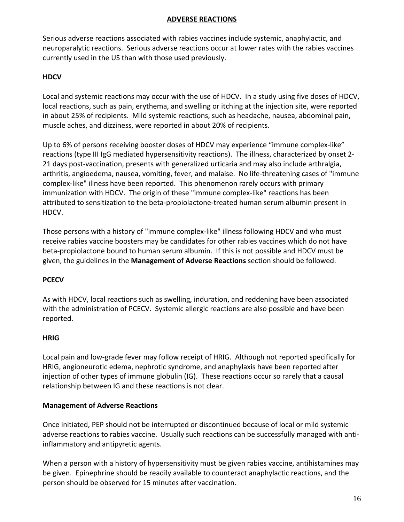## **ADVERSE REACTIONS**

Serious adverse reactions associated with rabies vaccines include systemic, anaphylactic, and neuroparalytic reactions. Serious adverse reactions occur at lower rates with the rabies vaccines currently used in the US than with those used previously.

# **HDCV**

Local and systemic reactions may occur with the use of HDCV. In a study using five doses of HDCV, local reactions, such as pain, erythema, and swelling or itching at the injection site, were reported in about 25% of recipients. Mild systemic reactions, such as headache, nausea, abdominal pain, muscle aches, and dizziness, were reported in about 20% of recipients.

Up to 6% of persons receiving booster doses of HDCV may experience "immune complex‐like" reactions (type III IgG mediated hypersensitivity reactions). The illness, characterized by onset 2‐ 21 days post‐vaccination, presents with generalized urticaria and may also include arthralgia, arthritis, angioedema, nausea, vomiting, fever, and malaise. No life‐threatening cases of "immune complex‐like" illness have been reported. This phenomenon rarely occurs with primary immunization with HDCV. The origin of these "immune complex-like" reactions has been attributed to sensitization to the beta‐propiolactone‐treated human serum albumin present in HDCV.

Those persons with a history of "immune complex‐like" illness following HDCV and who must receive rabies vaccine boosters may be candidates for other rabies vaccines which do not have beta‐propiolactone bound to human serum albumin. If this is not possible and HDCV must be given, the guidelines in the **Management of Adverse Reactions** section should be followed.

## **PCECV**

As with HDCV, local reactions such as swelling, induration, and reddening have been associated with the administration of PCECV. Systemic allergic reactions are also possible and have been reported.

#### **HRIG**

Local pain and low‐grade fever may follow receipt of HRIG. Although not reported specifically for HRIG, angioneurotic edema, nephrotic syndrome, and anaphylaxis have been reported after injection of other types of immune globulin (IG). These reactions occur so rarely that a causal relationship between IG and these reactions is not clear.

#### **Management of Adverse Reactions**

Once initiated, PEP should not be interrupted or discontinued because of local or mild systemic adverse reactions to rabies vaccine. Usually such reactions can be successfully managed with anti‐ inflammatory and antipyretic agents.

When a person with a history of hypersensitivity must be given rabies vaccine, antihistamines may be given. Epinephrine should be readily available to counteract anaphylactic reactions, and the person should be observed for 15 minutes after vaccination.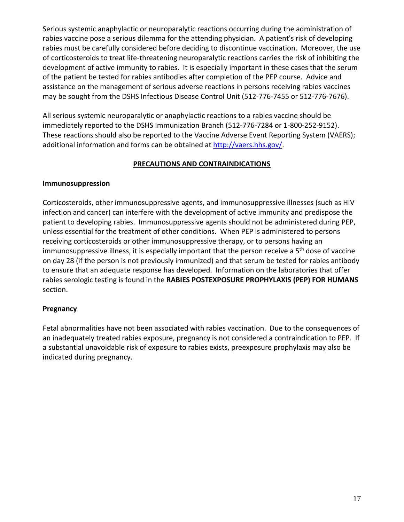Serious systemic anaphylactic or neuroparalytic reactions occurring during the administration of rabies vaccine pose a serious dilemma for the attending physician. A patient's risk of developing rabies must be carefully considered before deciding to discontinue vaccination. Moreover, the use of corticosteroids to treat life‐threatening neuroparalytic reactions carries the risk of inhibiting the development of active immunity to rabies. It is especially important in these cases that the serum of the patient be tested for rabies antibodies after completion of the PEP course. Advice and assistance on the management of serious adverse reactions in persons receiving rabies vaccines may be sought from the DSHS Infectious Disease Control Unit (512‐776‐7455 or 512‐776‐7676).

All serious systemic neuroparalytic or anaphylactic reactions to a rabies vaccine should be immediately reported to the DSHS Immunization Branch (512‐776‐7284 or 1‐800‐252‐9152). These reactions should also be reported to the Vaccine Adverse Event Reporting System (VAERS); additional information and forms can be obtained at http://vaers.hhs.gov/.

# **PRECAUTIONS AND CONTRAINDICATIONS**

# **Immunosuppression**

Corticosteroids, other immunosuppressive agents, and immunosuppressive illnesses (such as HIV infection and cancer) can interfere with the development of active immunity and predispose the patient to developing rabies. Immunosuppressive agents should not be administered during PEP, unless essential for the treatment of other conditions. When PEP is administered to persons receiving corticosteroids or other immunosuppressive therapy, or to persons having an immunosuppressive illness, it is especially important that the person receive a 5<sup>th</sup> dose of vaccine on day 28 (if the person is not previously immunized) and that serum be tested for rabies antibody to ensure that an adequate response has developed. Information on the laboratories that offer rabies serologic testing is found in the **RABIES POSTEXPOSURE PROPHYLAXIS (PEP) FOR HUMANS** section.

# **Pregnancy**

Fetal abnormalities have not been associated with rabies vaccination. Due to the consequences of an inadequately treated rabies exposure, pregnancy is not considered a contraindication to PEP. If a substantial unavoidable risk of exposure to rabies exists, preexposure prophylaxis may also be indicated during pregnancy.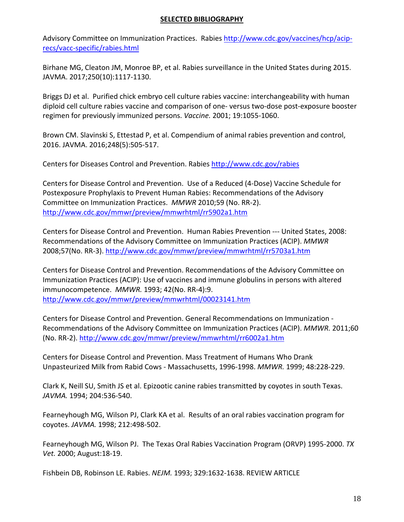## **SELECTED BIBLIOGRAPHY**

Advisory Committee on Immunization Practices. Rabies http://www.cdc.gov/vaccines/hcp/aciprecs/vacc‐specific/rabies.html

Birhane MG, Cleaton JM, Monroe BP, et al. Rabies surveillance in the United States during 2015. JAVMA. 2017;250(10):1117‐1130.

Briggs DJ et al. Purified chick embryo cell culture rabies vaccine: interchangeability with human diploid cell culture rabies vaccine and comparison of one‐ versus two‐dose post‐exposure booster regimen for previously immunized persons. *Vaccine.* 2001; 19:1055‐1060.

Brown CM. Slavinski S, Ettestad P, et al. Compendium of animal rabies prevention and control, 2016. JAVMA. 2016;248(5):505‐517.

Centers for Diseases Control and Prevention. Rabies http://www.cdc.gov/rabies

Centers for Disease Control and Prevention. Use of a Reduced (4‐Dose) Vaccine Schedule for Postexposure Prophylaxis to Prevent Human Rabies: Recommendations of the Advisory Committee on Immunization Practices. *MMWR* 2010;59 (No. RR‐2). http://www.cdc.gov/mmwr/preview/mmwrhtml/rr5902a1.htm

Centers for Disease Control and Prevention. Human Rabies Prevention ‐‐‐ United States, 2008: Recommendations of the Advisory Committee on Immunization Practices (ACIP). *MMWR* 2008;57(No. RR‐3). http://www.cdc.gov/mmwr/preview/mmwrhtml/rr5703a1.htm

Centers for Disease Control and Prevention. Recommendations of the Advisory Committee on Immunization Practices (ACIP): Use of vaccines and immune globulins in persons with altered immunocompetence. *MMWR.* 1993; 42(No. RR‐4):9. http://www.cdc.gov/mmwr/preview/mmwrhtml/00023141.htm

Centers for Disease Control and Prevention. General Recommendations on Immunization ‐ Recommendations of the Advisory Committee on Immunization Practices (ACIP). *MMWR.* 2011;60 (No. RR‐2). http://www.cdc.gov/mmwr/preview/mmwrhtml/rr6002a1.htm

Centers for Disease Control and Prevention. Mass Treatment of Humans Who Drank Unpasteurized Milk from Rabid Cows ‐ Massachusetts, 1996‐1998. *MMWR.* 1999; 48:228‐229.

Clark K, Neill SU, Smith JS et al. Epizootic canine rabies transmitted by coyotes in south Texas. *JAVMA.* 1994; 204:536‐540.

Fearneyhough MG, Wilson PJ, Clark KA et al. Results of an oral rabies vaccination program for coyotes. *JAVMA.* 1998; 212:498‐502.

Fearneyhough MG, Wilson PJ. The Texas Oral Rabies Vaccination Program (ORVP) 1995‐2000. *TX Vet.* 2000; August:18‐19.

Fishbein DB, Robinson LE. Rabies. *NEJM.* 1993; 329:1632‐1638. REVIEW ARTICLE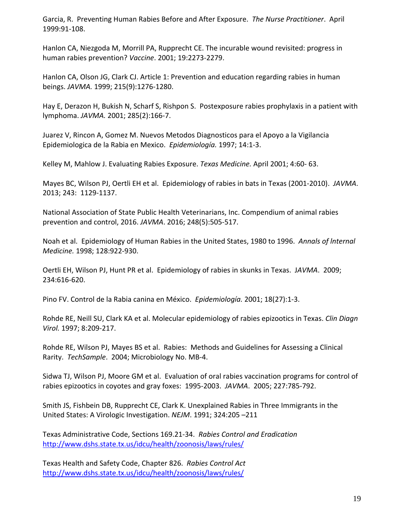Garcia, R. Preventing Human Rabies Before and After Exposure. *The Nurse Practitioner*. April 1999:91‐108.

Hanlon CA, Niezgoda M, Morrill PA, Rupprecht CE. The incurable wound revisited: progress in human rabies prevention? *Vaccine*. 2001; 19:2273‐2279.

Hanlon CA, Olson JG, Clark CJ. Article 1: Prevention and education regarding rabies in human beings. *JAVMA.* 1999; 215(9):1276‐1280.

Hay E, Derazon H, Bukish N, Scharf S, Rishpon S. Postexposure rabies prophylaxis in a patient with lymphoma. *JAVMA.* 2001; 285(2):166‐7.

Juarez V, Rincon A, Gomez M. Nuevos Metodos Diagnosticos para el Apoyo a la Vigilancia Epidemiologica de la Rabia en Mexico. *Epidemiología.* 1997; 14:1‐3.

Kelley M, Mahlow J. Evaluating Rabies Exposure. *Texas Medicine.* April 2001; 4:60‐ 63.

Mayes BC, Wilson PJ, Oertli EH et al. Epidemiology of rabies in bats in Texas (2001‐2010). *JAVMA*. 2013; 243: 1129‐1137.

National Association of State Public Health Veterinarians, Inc. Compendium of animal rabies prevention and control, 2016. *JAVMA*. 2016; 248(5):505‐517.

Noah et al. Epidemiology of Human Rabies in the United States, 1980 to 1996. *Annals of lnternal Medicine.* 1998; 128:922‐930.

Oertli EH, Wilson PJ, Hunt PR et al. Epidemiology of rabies in skunks in Texas. J*AVMA*. 2009; 234:616‐620.

Pino FV. Control de la Rabia canina en México. *Epidemiología.* 2001; 18(27):1‐3.

Rohde RE, Neill SU, Clark KA et al. Molecular epidemiology of rabies epizootics in Texas. *Clin Diagn Virol.* 1997; 8:209‐217.

Rohde RE, Wilson PJ, Mayes BS et al. Rabies: Methods and Guidelines for Assessing a Clinical Rarity. *TechSample*. 2004; Microbiology No. MB‐4.

Sidwa TJ, Wilson PJ, Moore GM et al. Evaluation of oral rabies vaccination programs for control of rabies epizootics in coyotes and gray foxes: 1995‐2003. *JAVMA*. 2005; 227:785‐792.

Smith JS, Fishbein DB, Rupprecht CE, Clark K. Unexplained Rabies in Three Immigrants in the United States: A Virologic Investigation. *NEJM*. 1991; 324:205 –211

Texas Administrative Code, Sections 169.21‐34. *Rabies Control and Eradication* http://www.dshs.state.tx.us/idcu/health/zoonosis/laws/rules/

Texas Health and Safety Code, Chapter 826. *Rabies Control Act* http://www.dshs.state.tx.us/idcu/health/zoonosis/laws/rules/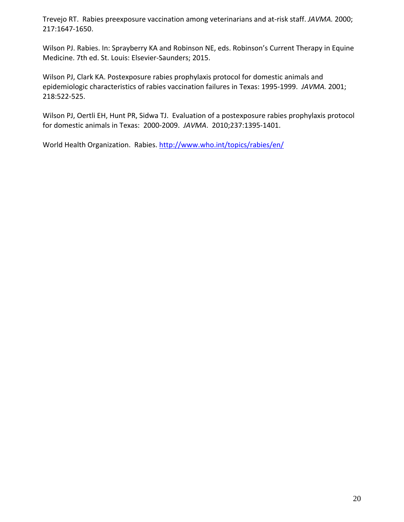Trevejo RT. Rabies preexposure vaccination among veterinarians and at‐risk staff. *JAVMA.* 2000; 217:1647‐1650.

Wilson PJ. Rabies. In: Sprayberry KA and Robinson NE, eds. Robinson's Current Therapy in Equine Medicine. 7th ed. St. Louis: Elsevier‐Saunders; 2015.

Wilson PJ, Clark KA. Postexposure rabies prophylaxis protocol for domestic animals and epidemiologic characteristics of rabies vaccination failures in Texas: 1995‐1999. *JAVMA.* 2001; 218:522‐525.

Wilson PJ, Oertli EH, Hunt PR, Sidwa TJ. Evaluation of a postexposure rabies prophylaxis protocol for domestic animals in Texas: 2000‐2009. *JAVMA*. 2010;237:1395‐1401.

World Health Organization. Rabies. http://www.who.int/topics/rabies/en/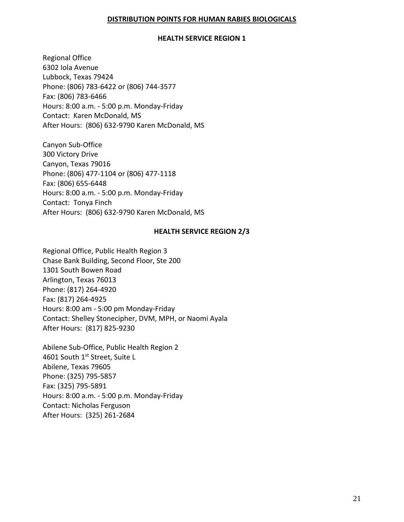## **DISTRIBUTION POINTS FOR HUMAN RABIES BIOLOGICALS**

#### **HEALTH SERVICE REGION 1**

Regional Office 6302 Iola Avenue Lubbock, Texas 79424 Phone: (806) 783‐6422 or (806) 744‐3577 Fax: (806) 783‐6466 Hours: 8:00 a.m. ‐ 5:00 p.m. Monday‐Friday Contact: Karen McDonald, MS After Hours: (806) 632‐9790 Karen McDonald, MS

Canyon Sub‐Office 300 Victory Drive Canyon, Texas 79016 Phone: (806) 477‐1104 or (806) 477‐1118 Fax: (806) 655‐6448 Hours: 8:00 a.m. ‐ 5:00 p.m. Monday‐Friday Contact: Tonya Finch After Hours: (806) 632‐9790 Karen McDonald, MS

## **HEALTH SERVICE REGION 2/3**

Regional Office, Public Health Region 3 Chase Bank Building, Second Floor, Ste 200 1301 South Bowen Road Arlington, Texas 76013 Phone: (817) 264‐4920 Fax: (817) 264‐4925 Hours: 8:00 am ‐ 5:00 pm Monday‐Friday Contact: Shelley Stonecipher, DVM, MPH, or Naomi Ayala After Hours: (817) 825‐9230

Abilene Sub‐Office, Public Health Region 2 4601 South 1st Street, Suite L Abilene, Texas 79605 Phone: (325) 795‐5857 Fax: (325) 795‐5891 Hours: 8:00 a.m. ‐ 5:00 p.m. Monday‐Friday Contact: Nicholas Ferguson After Hours: (325) 261‐2684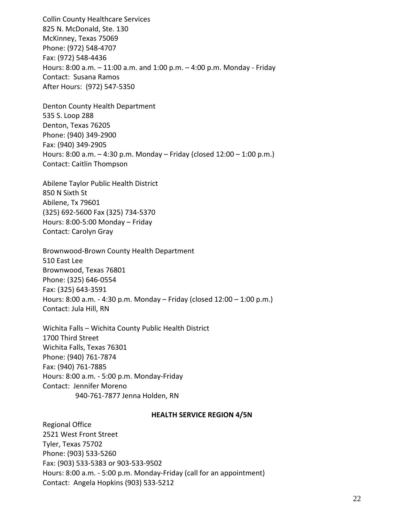Collin County Healthcare Services 825 N. McDonald, Ste. 130 McKinney, Texas 75069 Phone: (972) 548‐4707 Fax: (972) 548‐4436 Hours: 8:00 a.m. – 11:00 a.m. and 1:00 p.m. – 4:00 p.m. Monday ‐ Friday Contact: Susana Ramos After Hours: (972) 547‐5350

Denton County Health Department 535 S. Loop 288 Denton, Texas 76205 Phone: (940) 349‐2900 Fax: (940) 349‐2905 Hours: 8:00 a.m. – 4:30 p.m. Monday – Friday (closed 12:00 – 1:00 p.m.) Contact: Caitlin Thompson

Abilene Taylor Public Health District 850 N Sixth St Abilene, Tx 79601 (325) 692‐5600 Fax (325) 734‐5370 Hours: 8:00‐5:00 Monday – Friday Contact: Carolyn Gray

Brownwood‐Brown County Health Department 510 East Lee Brownwood, Texas 76801 Phone: (325) 646‐0554 Fax: (325) 643‐3591 Hours: 8:00 a.m. ‐ 4:30 p.m. Monday – Friday (closed 12:00 – 1:00 p.m.) Contact: Jula Hill, RN

Wichita Falls – Wichita County Public Health District 1700 Third Street Wichita Falls, Texas 76301 Phone: (940) 761‐7874 Fax: (940) 761‐7885 Hours: 8:00 a.m. ‐ 5:00 p.m. Monday‐Friday Contact: Jennifer Moreno 940‐761‐7877 Jenna Holden, RN

#### **HEALTH SERVICE REGION 4/5N**

Regional Office 2521 West Front Street Tyler, Texas 75702 Phone: (903) 533‐5260 Fax: (903) 533‐5383 or 903‐533‐9502 Hours: 8:00 a.m. ‐ 5:00 p.m. Monday‐Friday (call for an appointment) Contact: Angela Hopkins (903) 533‐5212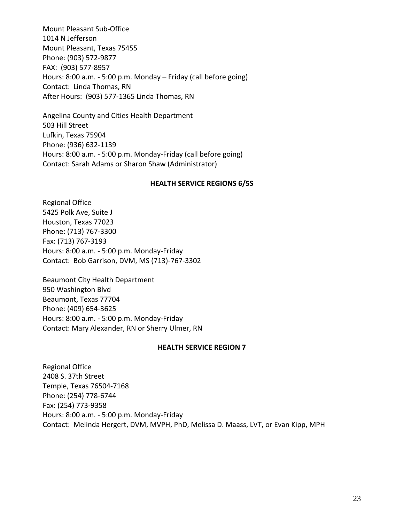Mount Pleasant Sub‐Office 1014 N Jefferson Mount Pleasant, Texas 75455 Phone: (903) 572‐9877 FAX: (903) 577‐8957 Hours: 8:00 a.m. ‐ 5:00 p.m. Monday – Friday (call before going) Contact: Linda Thomas, RN After Hours: (903) 577‐1365 Linda Thomas, RN

Angelina County and Cities Health Department 503 Hill Street Lufkin, Texas 75904 Phone: (936) 632‐1139 Hours: 8:00 a.m. ‐ 5:00 p.m. Monday‐Friday (call before going) Contact: Sarah Adams or Sharon Shaw (Administrator)

#### **HEALTH SERVICE REGIONS 6/5S**

Regional Office 5425 Polk Ave, Suite J Houston, Texas 77023 Phone: (713) 767‐3300 Fax: (713) 767‐3193 Hours: 8:00 a.m. ‐ 5:00 p.m. Monday‐Friday Contact: Bob Garrison, DVM, MS (713)‐767‐3302

Beaumont City Health Department 950 Washington Blvd Beaumont, Texas 77704 Phone: (409) 654‐3625 Hours: 8:00 a.m. ‐ 5:00 p.m. Monday‐Friday Contact: Mary Alexander, RN or Sherry Ulmer, RN

#### **HEALTH SERVICE REGION 7**

Regional Office 2408 S. 37th Street Temple, Texas 76504‐7168 Phone: (254) 778‐6744 Fax: (254) 773‐9358 Hours: 8:00 a.m. ‐ 5:00 p.m. Monday‐Friday Contact: Melinda Hergert, DVM, MVPH, PhD, Melissa D. Maass, LVT, or Evan Kipp, MPH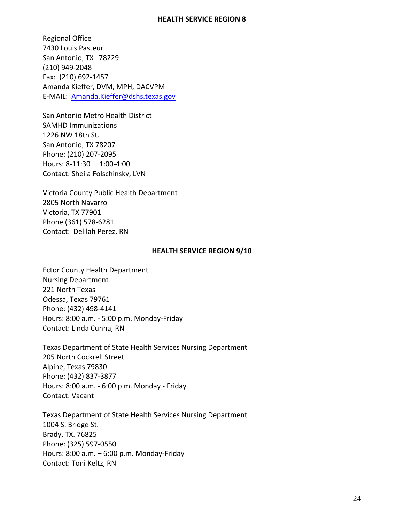#### **HEALTH SERVICE REGION 8**

Regional Office 7430 Louis Pasteur San Antonio, TX 78229 (210) 949‐2048 Fax: (210) 692‐1457 Amanda Kieffer, DVM, MPH, DACVPM E‐MAIL: Amanda.Kieffer@dshs.texas.gov

San Antonio Metro Health District SAMHD Immunizations 1226 NW 18th St. San Antonio, TX 78207 Phone: (210) 207‐2095 Hours: 8‐11:30 1:00‐4:00 Contact: Sheila Folschinsky, LVN

Victoria County Public Health Department 2805 North Navarro Victoria, TX 77901 Phone (361) 578‐6281 Contact: Delilah Perez, RN

#### **HEALTH SERVICE REGION 9/10**

Ector County Health Department Nursing Department 221 North Texas Odessa, Texas 79761 Phone: (432) 498‐4141 Hours: 8:00 a.m. ‐ 5:00 p.m. Monday‐Friday Contact: Linda Cunha, RN

Texas Department of State Health Services Nursing Department 205 North Cockrell Street Alpine, Texas 79830 Phone: (432) 837‐3877 Hours: 8:00 a.m. ‐ 6:00 p.m. Monday ‐ Friday Contact: Vacant

Texas Department of State Health Services Nursing Department 1004 S. Bridge St. Brady, TX. 76825 Phone: (325) 597‐0550 Hours: 8:00 a.m. – 6:00 p.m. Monday‐Friday Contact: Toni Keltz, RN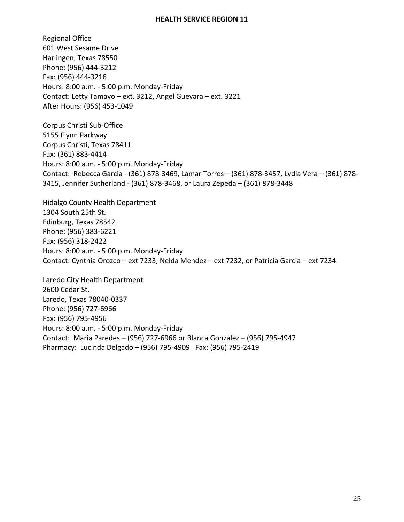#### **HEALTH SERVICE REGION 11**

Regional Office 601 West Sesame Drive Harlingen, Texas 78550 Phone: (956) 444‐3212 Fax: (956) 444‐3216 Hours: 8:00 a.m. ‐ 5:00 p.m. Monday‐Friday Contact: Letty Tamayo – ext. 3212, Angel Guevara – ext. 3221 After Hours: (956) 453‐1049

Corpus Christi Sub‐Office 5155 Flynn Parkway Corpus Christi, Texas 78411 Fax: (361) 883‐4414 Hours: 8:00 a.m. ‐ 5:00 p.m. Monday‐Friday Contact: Rebecca Garcia ‐ (361) 878‐3469, Lamar Torres – (361) 878‐3457, Lydia Vera – (361) 878‐ 3415, Jennifer Sutherland ‐ (361) 878‐3468, or Laura Zepeda – (361) 878‐3448

Hidalgo County Health Department 1304 South 25th St. Edinburg, Texas 78542 Phone: (956) 383‐6221 Fax: (956) 318‐2422 Hours: 8:00 a.m. ‐ 5:00 p.m. Monday‐Friday Contact: Cynthia Orozco – ext 7233, Nelda Mendez – ext 7232, or Patricia Garcia – ext 7234

Laredo City Health Department 2600 Cedar St. Laredo, Texas 78040‐0337 Phone: (956) 727‐6966 Fax: (956) 795‐4956 Hours: 8:00 a.m. ‐ 5:00 p.m. Monday‐Friday Contact: Maria Paredes – (956) 727‐6966 or Blanca Gonzalez – (956) 795‐4947 Pharmacy: Lucinda Delgado – (956) 795‐4909 Fax: (956) 795‐2419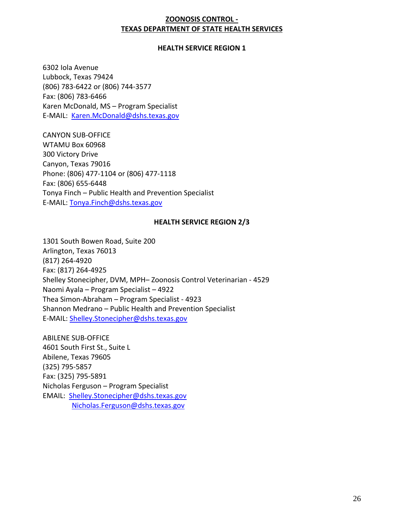# **ZOONOSIS CONTROL ‐ TEXAS DEPARTMENT OF STATE HEALTH SERVICES**

## **HEALTH SERVICE REGION 1**

6302 Iola Avenue Lubbock, Texas 79424 (806) 783‐6422 or (806) 744‐3577 Fax: (806) 783‐6466 Karen McDonald, MS – Program Specialist E-MAIL: Karen.McDonald@dshs.texas.gov

CANYON SUB‐OFFICE WTAMU Box 60968 300 Victory Drive Canyon, Texas 79016 Phone: (806) 477‐1104 or (806) 477‐1118 Fax: (806) 655‐6448 Tonya Finch – Public Health and Prevention Specialist E‐MAIL: Tonya.Finch@dshs.texas.gov

#### **HEALTH SERVICE REGION 2/3**

1301 South Bowen Road, Suite 200 Arlington, Texas 76013 (817) 264‐4920 Fax: (817) 264‐4925 Shelley Stonecipher, DVM, MPH– Zoonosis Control Veterinarian ‐ 4529 Naomi Ayala – Program Specialist – 4922 Thea Simon‐Abraham – Program Specialist ‐ 4923 Shannon Medrano – Public Health and Prevention Specialist E‐MAIL: Shelley.Stonecipher@dshs.texas.gov

ABILENE SUB‐OFFICE 4601 South First St., Suite L Abilene, Texas 79605 (325) 795‐5857 Fax: (325) 795‐5891 Nicholas Ferguson – Program Specialist EMAIL: Shelley.Stonecipher@dshs.texas.gov Nicholas.Ferguson@dshs.texas.gov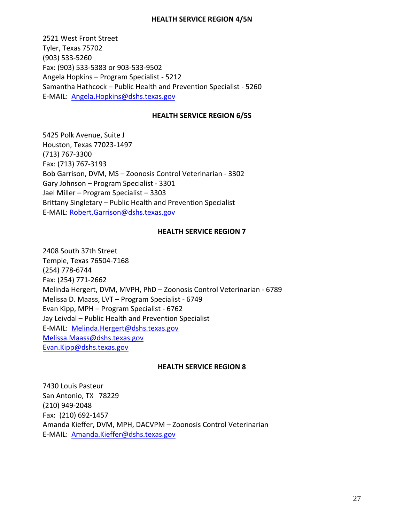#### **HEALTH SERVICE REGION 4/5N**

2521 West Front Street Tyler, Texas 75702 (903) 533‐5260 Fax: (903) 533‐5383 or 903‐533‐9502 Angela Hopkins – Program Specialist ‐ 5212 Samantha Hathcock – Public Health and Prevention Specialist ‐ 5260 E‐MAIL: Angela.Hopkins@dshs.texas.gov

#### **HEALTH SERVICE REGION 6/5S**

5425 Polk Avenue, Suite J Houston, Texas 77023‐1497 (713) 767‐3300 Fax: (713) 767‐3193 Bob Garrison, DVM, MS – Zoonosis Control Veterinarian ‐ 3302 Gary Johnson – Program Specialist ‐ 3301 Jael Miller – Program Specialist – 3303 Brittany Singletary – Public Health and Prevention Specialist E‐MAIL: Robert.Garrison@dshs.texas.gov

#### **HEALTH SERVICE REGION 7**

2408 South 37th Street Temple, Texas 76504‐7168 (254) 778‐6744 Fax: (254) 771‐2662 Melinda Hergert, DVM, MVPH, PhD – Zoonosis Control Veterinarian ‐ 6789 Melissa D. Maass, LVT – Program Specialist ‐ 6749 Evan Kipp, MPH – Program Specialist ‐ 6762 Jay Leivdal – Public Health and Prevention Specialist E‐MAIL: Melinda.Hergert@dshs.texas.gov Melissa.Maass@dshs.texas.gov Evan.Kipp@dshs.texas.gov

#### **HEALTH SERVICE REGION 8**

7430 Louis Pasteur San Antonio, TX 78229 (210) 949‐2048 Fax: (210) 692‐1457 Amanda Kieffer, DVM, MPH, DACVPM – Zoonosis Control Veterinarian E‐MAIL: Amanda.Kieffer@dshs.texas.gov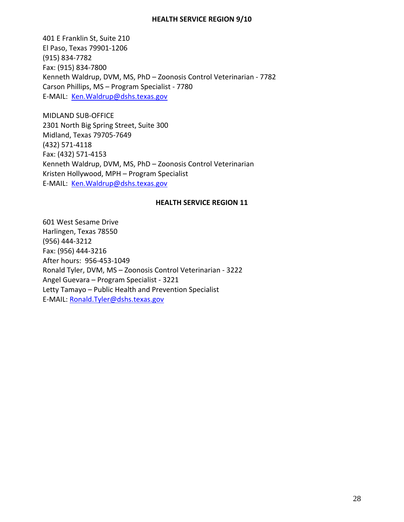#### **HEALTH SERVICE REGION 9/10**

401 E Franklin St, Suite 210 El Paso, Texas 79901‐1206 (915) 834‐7782 Fax: (915) 834‐7800 Kenneth Waldrup, DVM, MS, PhD – Zoonosis Control Veterinarian ‐ 7782 Carson Phillips, MS – Program Specialist ‐ 7780 E‐MAIL: Ken.Waldrup@dshs.texas.gov

MIDLAND SUB‐OFFICE 2301 North Big Spring Street, Suite 300 Midland, Texas 79705‐7649 (432) 571‐4118 Fax: (432) 571‐4153 Kenneth Waldrup, DVM, MS, PhD – Zoonosis Control Veterinarian Kristen Hollywood, MPH – Program Specialist E-MAIL: Ken. Waldrup@dshs.texas.gov

#### **HEALTH SERVICE REGION 11**

601 West Sesame Drive Harlingen, Texas 78550 (956) 444‐3212 Fax: (956) 444‐3216 After hours: 956‐453‐1049 Ronald Tyler, DVM, MS – Zoonosis Control Veterinarian ‐ 3222 Angel Guevara – Program Specialist ‐ 3221 Letty Tamayo – Public Health and Prevention Specialist E‐MAIL: Ronald.Tyler@dshs.texas.gov